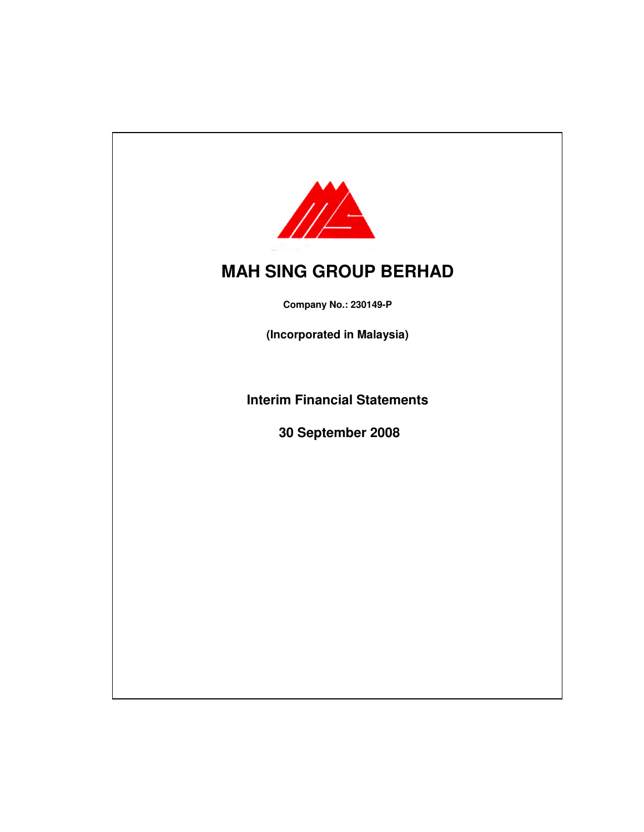

**Company No.: 230149-P**

**(Incorporated in Malaysia)**

**Interim Financial Statements**

 **30 September 2008**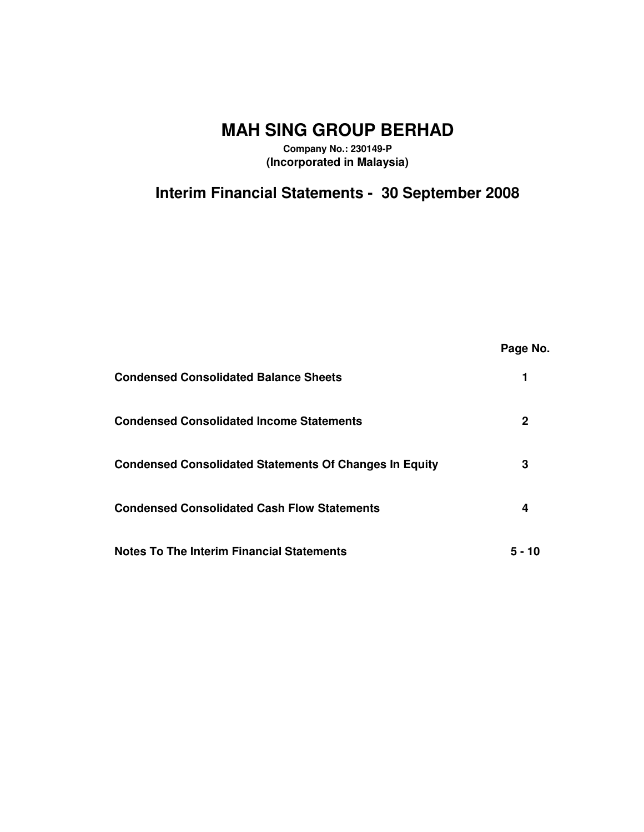**Company No.: 230149-P (Incorporated in Malaysia)**

# **Interim Financial Statements - 30 September 2008**

|                                                               | Page No. |
|---------------------------------------------------------------|----------|
| <b>Condensed Consolidated Balance Sheets</b>                  |          |
| <b>Condensed Consolidated Income Statements</b>               | 2        |
| <b>Condensed Consolidated Statements Of Changes In Equity</b> | 3        |
| <b>Condensed Consolidated Cash Flow Statements</b>            | 4        |
| <b>Notes To The Interim Financial Statements</b>              | 5 - 10   |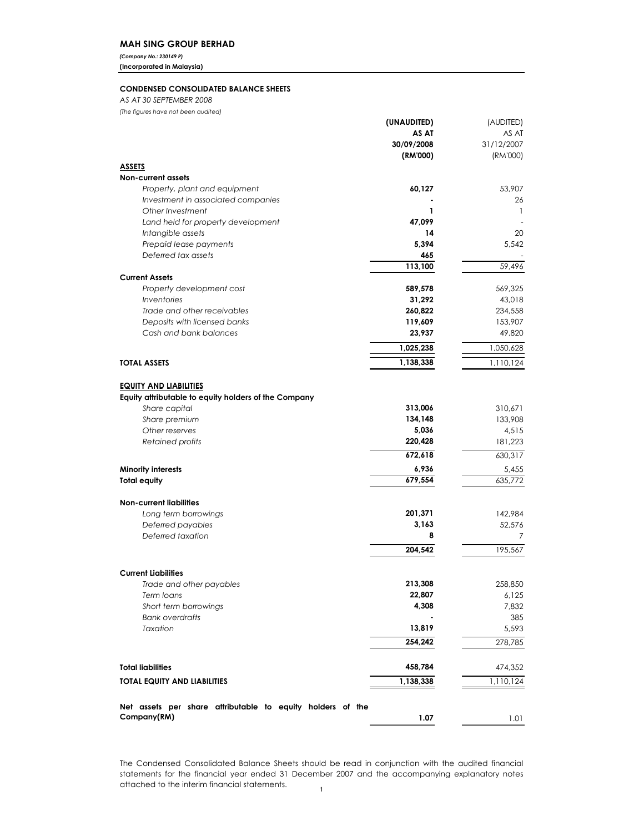(Company No.: 230149 P)

(Incorporated in Malaysia)

# CONDENSED CONSOLIDATED BALANCE SHEETS

AS AT 30 SEPTEMBER 2008

| (The figures have not been audited)                                                   |                        |            |
|---------------------------------------------------------------------------------------|------------------------|------------|
|                                                                                       | (UNAUDITED)            | (AUDITED)  |
|                                                                                       | AS AT                  | AS AT      |
|                                                                                       | 30/09/2008             | 31/12/2007 |
|                                                                                       | (RM'000)               | (RM'000)   |
| <b>ASSETS</b>                                                                         |                        |            |
| <b>Non-current assets</b>                                                             |                        |            |
| Property, plant and equipment                                                         | 60,127                 | 53,907     |
| Investment in associated companies<br>Other Investment                                | 1                      | 26<br>1    |
| Land held for property development                                                    | 47,099                 |            |
| Intangible assets                                                                     | 14                     | 20         |
| Prepaid lease payments                                                                | 5.394                  | 5,542      |
| Deferred tax assets                                                                   | 465                    |            |
|                                                                                       | 113,100                | 59,496     |
| <b>Current Assets</b>                                                                 |                        |            |
| Property development cost                                                             | 589,578                | 569,325    |
| Inventories                                                                           | 31,292                 | 43,018     |
| Trade and other receivables                                                           | 260,822                | 234,558    |
| Deposits with licensed banks                                                          | 119,609                | 153,907    |
| Cash and bank balances                                                                | 23,937                 | 49,820     |
|                                                                                       | 1,025,238              | 1,050,628  |
| <b>TOTAL ASSETS</b>                                                                   |                        |            |
|                                                                                       | $\overline{1,}138,338$ | 1,110,124  |
|                                                                                       |                        |            |
| <b>EQUITY AND LIABILITIES</b><br>Equity attributable to equity holders of the Company |                        |            |
| Share capital                                                                         | 313,006                | 310,671    |
| Share premium                                                                         | 134,148                | 133,908    |
| Other reserves                                                                        | 5,036                  | 4,515      |
| Retained profits                                                                      | 220,428                | 181,223    |
|                                                                                       | 672,618                | 630,317    |
|                                                                                       |                        |            |
| <b>Minority interests</b>                                                             | 6,936                  | 5,455      |
| <b>Total equity</b>                                                                   | 679,554                | 635,772    |
| <b>Non-current liabilities</b>                                                        |                        |            |
| Long term borrowings                                                                  | 201,371                | 142.984    |
| Deferred payables                                                                     | 3,163                  | 52,576     |
| Deferred taxation                                                                     | 8                      | 7          |
|                                                                                       | 204.542                | 195,567    |
|                                                                                       |                        |            |
| <b>Current Liabilities</b>                                                            |                        |            |
| Trade and other payables                                                              | 213,308                | 258,850    |
| Term loans                                                                            | 22,807                 | 6,125      |
| Short term borrowings                                                                 | 4,308                  | 7,832      |
| <b>Bank overdrafts</b>                                                                |                        | 385        |
| Taxation                                                                              | 13,819                 | 5,593      |
|                                                                                       | 254,242                | 278,785    |
|                                                                                       |                        |            |
|                                                                                       |                        |            |
| <b>Total liabilities</b>                                                              | 458,784                | 474,352    |
| TOTAL EQUITY AND LIABILITIES                                                          | 1,138,338              | 1,110,124  |
|                                                                                       |                        |            |
| Net assets per share attributable to equity holders of the                            |                        |            |
| Company(RM)                                                                           | 1.07                   | 1.01       |

The Condensed Consolidated Balance Sheets should be read in conjunction with the audited financial statements for the financial year ended 31 December 2007 and the accompanying explanatory notes attached to the interim financial statements.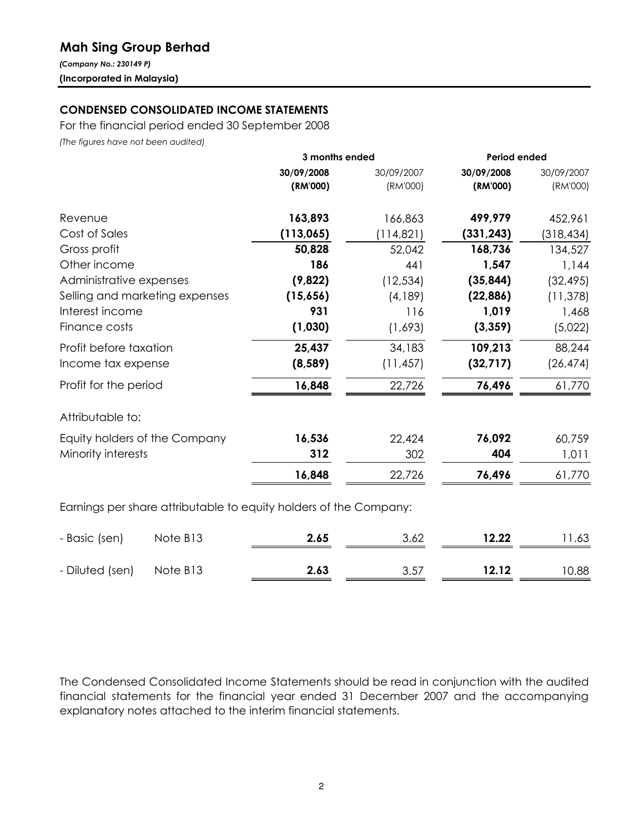# Mah Sing Group Berhad

(Company No.: 230149 P) (Incorporated in Malaysia)

# CONDENSED CONSOLIDATED INCOME STATEMENTS

For the financial period ended 30 September 2008

(The figures have not been audited)

|            | 3 months ended | <b>Period ended</b> |            |  |
|------------|----------------|---------------------|------------|--|
| 30/09/2008 | 30/09/2007     | 30/09/2008          | 30/09/2007 |  |
| (RM'000)   | (RM'000)       | (RM'000)            | (RM'000)   |  |
| 163,893    | 166,863        | 499,979             | 452,961    |  |
| (113,065)  | (114, 821)     | (331, 243)          | (318, 434) |  |
| 50,828     | 52,042         | 168,736             | 134,527    |  |
| 186        | 441            | 1,547               | 1,144      |  |
| (9,822)    | (12, 534)      | (35, 844)           | (32, 495)  |  |
| (15,656)   | (4,189)        | (22, 886)           | (11, 378)  |  |
| 931        | 116            | 1,019               | 1,468      |  |
| (1,030)    | (1,693)        | (3, 359)            | (5,022)    |  |
| 25,437     | 34,183         | 109,213             | 88,244     |  |
| (8, 589)   | (11, 457)      | (32, 717)           | (26, 474)  |  |
| 16,848     | 22,726         | 76,496              | 61,770     |  |
|            |                |                     |            |  |
| 16,536     | 22,424         | 76,092              | 60,759     |  |
| 312        | 302            | 404                 | 1,011      |  |
| 16,848     | 22,726         | 76,496              | 61,770     |  |
|            |                |                     |            |  |

| - Basic (sen)            | Note B13 | 2.65 | 3.62 | 12.22 | 11.63 |
|--------------------------|----------|------|------|-------|-------|
| - Diluted (sen) Note B13 |          | 2.63 | 3.57 | 12.12 | 10.88 |

The Condensed Consolidated Income Statements should be read in conjunction with the audited financial statements for the financial year ended 31 December 2007 and the accompanying explanatory notes attached to the interim financial statements.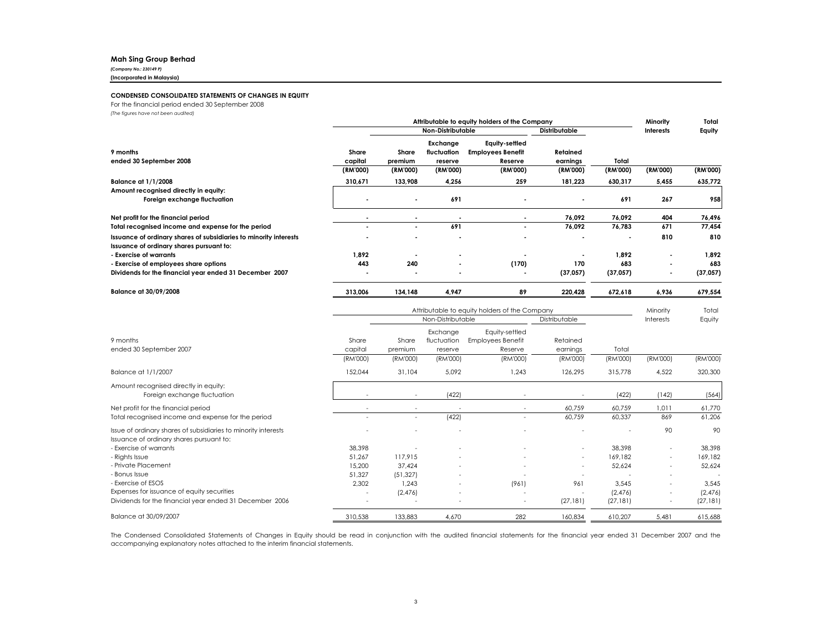## Mah Sing Group Berhad

(Company No.: 230149 P)

(Incorporated in Malaysia)

## CONDENSED CONSOLIDATED STATEMENTS OF CHANGES IN EQUITY

For the financial period ended 30 September 2008

(The figures have not been audited)

|                                                                                                               | Attributable to equity holders of the Company |                                           |                                    |                                                       |                      | Minority       | Total                    |           |
|---------------------------------------------------------------------------------------------------------------|-----------------------------------------------|-------------------------------------------|------------------------------------|-------------------------------------------------------|----------------------|----------------|--------------------------|-----------|
|                                                                                                               |                                               | Non-Distributable<br><b>Distributable</b> |                                    |                                                       |                      | Interests      | Equity                   |           |
| 9 months<br>ended 30 September 2008                                                                           | Share<br>capital                              | Share<br>premium                          | Exchange<br>fluctuation<br>reserve | Equity-settled<br><b>Employees Benefit</b><br>Reserve | Retained<br>earnings | Total          |                          |           |
|                                                                                                               | (RM'000)                                      | (RM'000)                                  | (RM'000)                           | (RM'000)                                              | (RM'000)             | (RM'000)       | (RM'000)                 | (RM'000)  |
| <b>Balance at 1/1/2008</b>                                                                                    | 310,671                                       | 133,908                                   | 4,256                              | 259                                                   | 181,223              | 630,317        | 5,455                    | 635,772   |
| Amount recognised directly in equity:                                                                         |                                               |                                           |                                    |                                                       |                      |                |                          |           |
| Foreign exchange fluctuation                                                                                  |                                               | $\blacksquare$                            | 691                                |                                                       |                      | 691            | 267                      | 958       |
| Net profit for the financial period                                                                           |                                               | $\blacksquare$                            |                                    |                                                       | 76,092               | 76,092         | 404                      | 76,496    |
| Total recognised income and expense for the period                                                            |                                               | $\blacksquare$                            | 691                                |                                                       | 76,092               | 76,783         | 671                      | 77,454    |
| Issuance of ordinary shares of subsidiaries to minority interests<br>Issuance of ordinary shares pursuant to: |                                               |                                           |                                    |                                                       |                      | $\blacksquare$ | 810                      | 810       |
| - Exercise of warrants                                                                                        | 1,892                                         |                                           | $\blacksquare$                     |                                                       |                      | 1,892          | $\blacksquare$           | 1,892     |
| - Exercise of employees share options                                                                         | 443                                           | 240                                       | $\blacksquare$                     | (170)                                                 | 170                  | 683            | $\overline{\phantom{a}}$ | 683       |
| Dividends for the financial year ended 31 December 2007                                                       |                                               | $\blacksquare$                            | $\blacksquare$                     |                                                       | (37,057)             | (37, 057)      |                          | (37, 057) |
| Balance at 30/09/2008                                                                                         | 313.006                                       | 134,148                                   | 4,947                              | 89                                                    | 220,428              | 672,618        | 6,936                    | 679,554   |

|                                                                                                            | Attributable to equity holders of the Company |                                    |                                    |                                                       |                          | Minority  | Total                    |           |
|------------------------------------------------------------------------------------------------------------|-----------------------------------------------|------------------------------------|------------------------------------|-------------------------------------------------------|--------------------------|-----------|--------------------------|-----------|
|                                                                                                            |                                               | Non-Distributable<br>Distributable |                                    |                                                       |                          |           | Interests                | Equity    |
| 9 months<br>ended 30 September 2007                                                                        | Share<br>capital                              | Share<br>premium                   | Exchange<br>fluctuation<br>reserve | Equity-settled<br><b>Employees Benefit</b><br>Reserve | Retained<br>earnings     | Total     |                          |           |
|                                                                                                            | (RM'000)                                      | (RM'000)                           | (RM'000)                           | (RM'000)                                              | (RM'000)                 | (RM'000)  | (RM'000)                 | (RM'000)  |
| Balance at 1/1/2007                                                                                        | 152,044                                       | 31,104                             | 5,092                              | 1,243                                                 | 126,295                  | 315,778   | 4,522                    | 320,300   |
| Amount recognised directly in equity:<br>Foreign exchange fluctuation                                      |                                               |                                    | (422)                              |                                                       |                          | (422)     | (142)                    | (564)     |
| Net profit for the financial period                                                                        |                                               | $\overline{\phantom{a}}$           |                                    | ٠                                                     | 60,759                   | 60,759    | 1,011                    | 61,770    |
| Total recognised income and expense for the period                                                         |                                               | $\overline{\phantom{a}}$           | (422)                              | $\overline{\phantom{a}}$                              | 60,759                   | 60,337    | 869                      | 61,206    |
| Issue of ordinary shares of subsidiaries to minority interests<br>Issuance of ordinary shares pursuant to: |                                               |                                    |                                    |                                                       |                          |           | 90                       | 90        |
| - Exercise of warrants                                                                                     | 38,398                                        |                                    |                                    |                                                       |                          | 38,398    |                          | 38,398    |
| - Rights Issue                                                                                             | 51,267                                        | 117,915                            |                                    |                                                       |                          | 169,182   | $\overline{\phantom{a}}$ | 169.182   |
| - Private Placement                                                                                        | 15,200                                        | 37,424                             |                                    | $\overline{\phantom{a}}$                              | $\overline{\phantom{a}}$ | 52,624    | $\overline{\phantom{a}}$ | 52,624    |
| - Bonus Issue                                                                                              | 51,327                                        | (51, 327)                          |                                    |                                                       |                          |           | $\overline{\phantom{a}}$ |           |
| - Exercise of ESOS                                                                                         | 2,302                                         | 1,243                              |                                    | (961)                                                 | 961                      | 3,545     | $\overline{\phantom{a}}$ | 3,545     |
| Expenses for issuance of equity securities                                                                 | $\overline{\phantom{a}}$                      | (2,476)                            |                                    | ٠                                                     |                          | (2,476)   | $\overline{\phantom{a}}$ | (2,476)   |
| Dividends for the financial year ended 31 December 2006                                                    |                                               |                                    |                                    | $\overline{\phantom{a}}$                              | (27, 181)                | (27, 181) | $\overline{\phantom{a}}$ | (27, 181) |
| Balance at 30/09/2007                                                                                      | 310.538                                       | 133,883                            | 4.670                              | 282                                                   | 160.834                  | 610.207   | 5.481                    | 615,688   |

The Condensed Consolidated Statements of Changes in Equity should be read in conjunction with the audited financial statements for the financial year ended <sup>31</sup> December <sup>2007</sup> and the accompanying explanatory notes attached to the interim financial statements.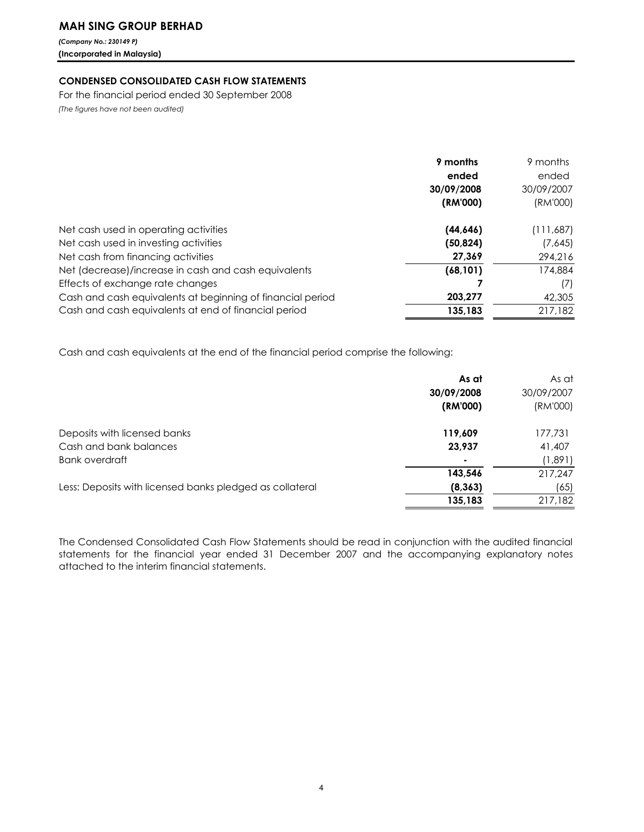(Company No.: 230149 P) (Incorporated in Malaysia)

# CONDENSED CONSOLIDATED CASH FLOW STATEMENTS

For the financial period ended 30 September 2008 (The figures have not been audited)

|                                                            | 9 months   | 9 months   |
|------------------------------------------------------------|------------|------------|
|                                                            | ended      | ended      |
|                                                            | 30/09/2008 | 30/09/2007 |
|                                                            | (RM'000)   | (RM'000)   |
| Net cash used in operating activities                      | (44, 646)  | (111,687)  |
| Net cash used in investing activities                      | (50, 824)  | (7,645)    |
| Net cash from financing activities                         | 27,369     | 294,216    |
| Net (decrease)/increase in cash and cash equivalents       | (68, 101)  | 174,884    |
| Effects of exchange rate changes                           |            | (7)        |
| Cash and cash equivalents at beginning of financial period | 203,277    | 42,305     |
| Cash and cash equivalents at end of financial period       | 135,183    | 217,182    |

Cash and cash equivalents at the end of the financial period comprise the following:

|                                                          | As at      | As at      |
|----------------------------------------------------------|------------|------------|
|                                                          | 30/09/2008 | 30/09/2007 |
|                                                          | (RM'000)   | (RM'000)   |
| Deposits with licensed banks                             | 119,609    | 177,731    |
| Cash and bank balances                                   | 23,937     | 41,407     |
| Bank overdraft                                           |            | (1,891)    |
|                                                          | 143.546    | 217,247    |
| Less: Deposits with licensed banks pledged as collateral | (8, 363)   | (65)       |
|                                                          | 135,183    | 217,182    |

The Condensed Consolidated Cash Flow Statements should be read in conjunction with the audited financial statements for the financial year ended 31 December 2007 and the accompanying explanatory notes attached to the interim financial statements.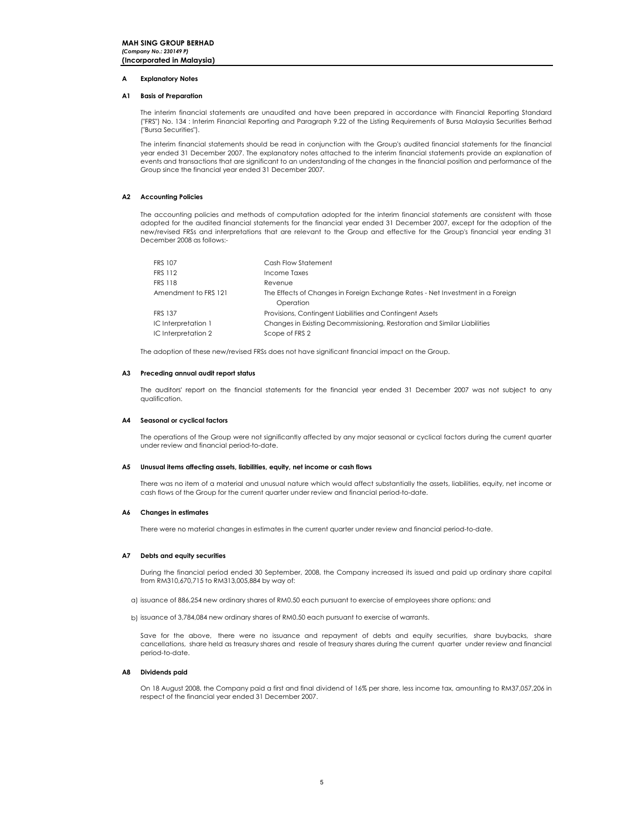#### A Explanatory Notes

### A1 Basis of Preparation

The interim financial statements are unaudited and have been prepared in accordance with Financial Reporting Standard ("FRS") No. 134 : Interim Financial Reporting and Paragraph 9.22 of the Listing Requirements of Bursa Malaysia Securities Berhad ("Bursa Securities").

The interim financial statements should be read in conjunction with the Group's audited financial statements for the financial year ended 31 December 2007. The explanatory notes attached to the interim financial statements provide an explanation of events and transactions that are significant to an understanding of the changes in the financial position and performance of the Group since the financial year ended 31 December 2007.

# A2 Accounting Policies

The accounting policies and methods of computation adopted for the interim financial statements are consistent with those adopted for the audited financial statements for the financial year ended 31 December 2007, except for the adoption of the new/revised FRSs and interpretations that are relevant to the Group and effective for the Group's financial year ending 31 December 2008 as follows:-

| <b>FRS 107</b>       | Cash Flow Statement                                                            |
|----------------------|--------------------------------------------------------------------------------|
| <b>FRS 112</b>       | Income Taxes                                                                   |
| <b>FRS 118</b>       | Revenue                                                                        |
| Amendment to FRS 121 | The Effects of Changes in Foreign Exchange Rates - Net Investment in a Foreign |
|                      | Operation                                                                      |
| <b>FRS 137</b>       | Provisions, Contingent Liabilities and Contingent Assets                       |
| IC Interpretation 1  | Changes in Existing Decommissioning, Restoration and Similar Liabilities       |
| IC Interpretation 2  | Scope of FRS 2                                                                 |

The adoption of these new/revised FRSs does not have significant financial impact on the Group.

#### A3 Preceding annual audit report status

The auditors' report on the financial statements for the financial year ended 31 December 2007 was not subject to any qualification.

### A4 Seasonal or cyclical factors

The operations of the Group were not significantly affected by any major seasonal or cyclical factors during the current quarter under review and financial period-to-date.

#### A5 Unusual items affecting assets, liabilities, equity, net income or cash flows

There was no item of a material and unusual nature which would affect substantially the assets, liabilities, equity, net income or cash flows of the Group for the current quarter under review and financial period-to-date.

#### A6 Changes in estimates

There were no material changes in estimates in the current quarter under review and financial period-to-date.

#### A7 Debts and equity securities

During the financial period ended 30 September, 2008, the Company increased its issued and paid up ordinary share capital from RM310,670,715 to RM313,005,884 by way of:

- a) issuance of 886,254 new ordinary shares of RM0.50 each pursuant to exercise of employees share options; and
- b) issuance of 3,784,084 new ordinary shares of RM0.50 each pursuant to exercise of warrants.

.<br>Save for the above, there were no issuance and repayment of debts and equity securities, share buybacks, share cancellations, share held as treasury shares and resale of treasury shares during the current quarter under review and financial period-to-date.

# A8 Dividends paid

On 18 August 2008, the Company paid a first and final dividend of 16% per share, less income tax, amounting to RM37,057,206 in respect of the financial year ended 31 December 2007.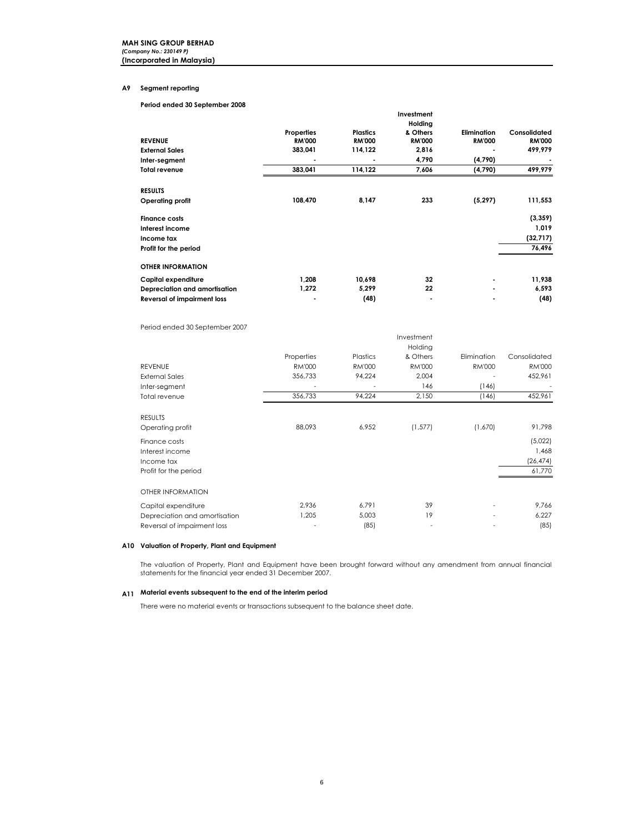# A9 Segment reporting

Period ended 30 September 2008

|                                    |               |                 | Investment<br>Holding |               |               |
|------------------------------------|---------------|-----------------|-----------------------|---------------|---------------|
|                                    | Properties    | <b>Plastics</b> | & Others              | Elimination   | Consolidated  |
| <b>REVENUE</b>                     | <b>RM'000</b> | <b>RM'000</b>   | <b>RM'000</b>         | <b>RM'000</b> | <b>RM'000</b> |
| <b>External Sales</b>              | 383,041       | 114,122         | 2,816                 |               | 499,979       |
| Inter-segment                      | ٠             | ٠               | 4,790                 | (4,790)       |               |
| <b>Total revenue</b>               | 383,041       | 114,122         | 7,606                 | (4,790)       | 499,979       |
| <b>RESULTS</b>                     |               |                 |                       |               |               |
| Operating profit                   | 108,470       | 8,147           | 233                   | (5, 297)      | 111,553       |
| <b>Finance costs</b>               |               |                 |                       |               | (3, 359)      |
| Interest income                    |               |                 |                       |               | 1,019         |
| Income tax                         |               |                 |                       |               | (32, 717)     |
| Profit for the period              |               |                 |                       |               | 76,496        |
| <b>OTHER INFORMATION</b>           |               |                 |                       |               |               |
| Capital expenditure                | 1,208         | 10,698          | 32                    |               | 11,938        |
| Depreciation and amortisation      | 1,272         | 5,299           | 22                    |               | 6,593         |
| <b>Reversal of impairment loss</b> |               | (48)            | ۰                     |               | (48)          |

Period ended 30 September 2007

| <b>REVENUE</b><br><b>External Sales</b><br>Inter-segment<br>Total revenue | Properties<br><b>RM'000</b><br>356,733<br>356,733 | Plastics<br><b>RM'000</b><br>94,224<br>94,224 | Investment<br>Holding<br>& Others<br><b>RM'000</b><br>2,004<br>146<br>2,150 | Elimination<br><b>RM'000</b><br>(146)<br>(146) | Consolidated<br><b>RM'000</b><br>452,961<br>452,961 |
|---------------------------------------------------------------------------|---------------------------------------------------|-----------------------------------------------|-----------------------------------------------------------------------------|------------------------------------------------|-----------------------------------------------------|
|                                                                           |                                                   |                                               |                                                                             |                                                |                                                     |
| <b>RESULTS</b><br>Operating profit                                        | 88,093                                            | 6,952                                         | (1, 577)                                                                    | (1,670)                                        | 91,798                                              |
| Finance costs<br>Interest income<br>Income tax<br>Profit for the period   |                                                   |                                               |                                                                             |                                                | (5,022)<br>1,468<br>(26, 474)<br>61,770             |
| OTHER INFORMATION                                                         |                                                   |                                               |                                                                             |                                                |                                                     |
| Capital expenditure                                                       | 2,936                                             | 6,791                                         | 39                                                                          |                                                | 9,766                                               |
| Depreciation and amortisation                                             | 1,205                                             | 5,003                                         | 19                                                                          |                                                | 6,227                                               |
| Reversal of impairment loss                                               |                                                   | (85)                                          |                                                                             |                                                | (85)                                                |

#### A10 Valuation of Property, Plant and Equipment

The valuation of Property, Plant and Equipment have been brought forward without any amendment from annual financial statements for the financial year ended 31 December 2007.

# A11 Material events subsequent to the end of the interim period

There were no material events or transactions subsequent to the balance sheet date.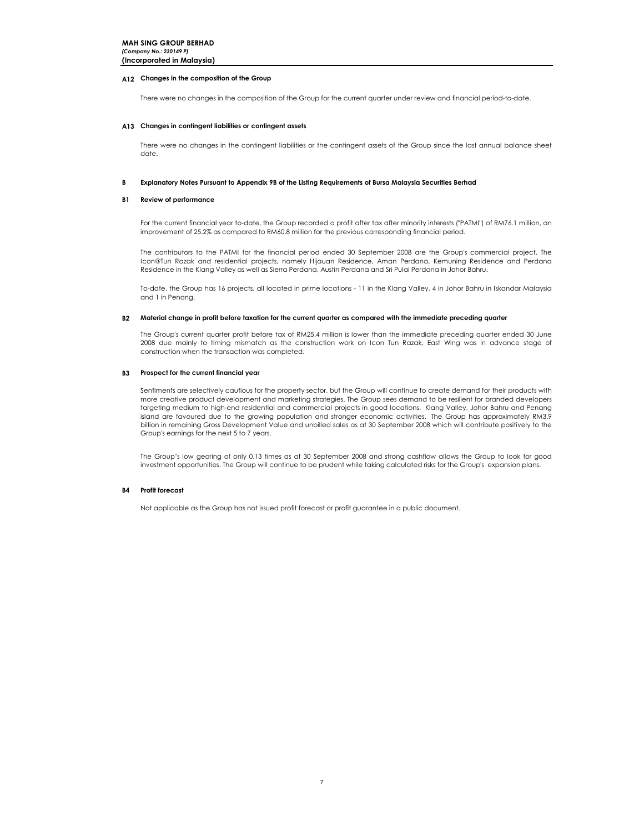# A12 Changes in the composition of the Group

There were no changes in the composition of the Group for the current quarter under review and financial period-to-date.

## A13 Changes in contingent liabilities or contingent assets

There were no changes in the contingent liabilities or the contingent assets of the Group since the last annual balance sheet date.

#### B Explanatory Notes Pursuant to Appendix 9B of the Listing Requirements of Bursa Malaysia Securities Berhad

## B1 Review of performance

For the current financial year to-date, the Group recorded a profit after tax after minority interests ("PATMI") of RM76.1 million, an improvement of 25.2% as compared to RM60.8 million for the previous corresponding financial period.

The contributors to the PATMI for the financial period ended 30 September 2008 are the Group's commercial project, The Icon@Tun Razak and residential projects, namely Hijauan Residence, Aman Perdana, Kemuning Residence and Perdana Residence in the Klang Valley as well as Sierra Perdana, Austin Perdana and Sri Pulai Perdana in Johor Bahru.

To-date, the Group has 16 projects, all located in prime locations - 11 in the Klang Valley, 4 in Johor Bahru in Iskandar Malaysia and 1 in Penang.

#### B2 Material change in profit before taxation for the current quarter as compared with the immediate preceding quarter

The Group's current quarter profit before tax of RM25.4 million is lower than the immediate preceding quarter ended 30 June 2008 due mainly to timing mismatch as the construction work on Icon Tun Razak, East Wing was in advance stage of construction when the transaction was completed.

### B3 Prospect for the current financial year

Sentiments are selectively cautious for the property sector, but the Group will continue to create demand for their products with more creative product development and marketing strategies. The Group sees demand to be resilient for branded developers targeting medium to high-end residential and commercial projects in good locations. Klang Valley, Johor Bahru and Penang island are favoured due to the growing population and stronger economic activities. The Group has approximately RM3.9 billion in remaining Gross Development Value and unbilled sales as at 30 September 2008 which will contribute positively to the Group's earnings for the next 5 to 7 years.

The Group's low gearing of only 0.13 times as at 30 September 2008 and strong cashflow allows the Group to look for good investment opportunities. The Group will continue to be prudent while taking calculated risks for the Group's expansion plans.

#### B4 Profit forecast

Not applicable as the Group has not issued profit forecast or profit guarantee in a public document.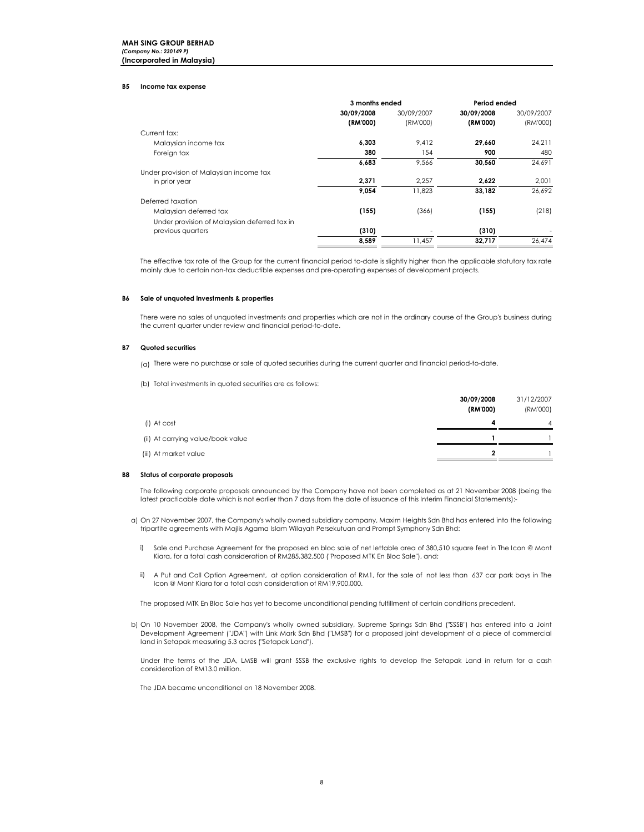## **MAH SING GROUP BERHAD** (Company No.: 230149 P) (Incorporated in Malaysia)

#### B5 Income tax expense

|                                              | 3 months ended |            | Period ended |            |  |
|----------------------------------------------|----------------|------------|--------------|------------|--|
|                                              | 30/09/2008     | 30/09/2007 | 30/09/2008   | 30/09/2007 |  |
|                                              | (RM'000)       | (RM'000)   | (RM'000)     | (RM'000)   |  |
| Current tax:                                 |                |            |              |            |  |
| Malaysian income tax                         | 6,303          | 9,412      | 29,660       | 24,211     |  |
| Foreign tax                                  | 380            | 154        | 900          | 480        |  |
|                                              | 6,683          | 9,566      | 30,560       | 24,691     |  |
| Under provision of Malaysian income tax      |                |            |              |            |  |
| in prior year                                | 2,371          | 2.257      | 2,622        | 2,001      |  |
|                                              | 9.054          | 11.823     | 33.182       | 26.692     |  |
| Deferred taxation                            |                |            |              |            |  |
| Malaysian deferred tax                       | (155)          | (366)      | (155)        | (218)      |  |
| Under provision of Malaysian deferred tax in |                |            |              |            |  |
| previous quarters                            | (310)          |            | (310)        |            |  |
|                                              | 8.589          | 11.457     | 32,717       | 26.474     |  |

The effective tax rate of the Group for the current financial period to-date is slightly higher than the applicable statutory tax rate mainly due to certain non-tax deductible expenses and pre-operating expenses of development projects.

#### B6 Sale of unquoted investments & properties

There were no sales of unquoted investments and properties which are not in the ordinary course of the Group's business during the current quarter under review and financial period-to-date.

#### B7 Quoted securities

- (a) There were no purchase or sale of quoted securities during the current quarter and financial period-to-date.
- (b) Total investments in quoted securities are as follows:

|                                   | 30/09/2008<br>(RM'000) | 31/12/2007<br>(RM'000) |
|-----------------------------------|------------------------|------------------------|
| (i) At cost                       | 4                      | $\overline{4}$         |
| (ii) At carrying value/book value |                        |                        |
| (iii) At market value             | ,                      |                        |

#### B8 Status of corporate proposals

The following corporate proposals announced by the Company have not been completed as at 21 November 2008 (being the latest practicable date which is not earlier than 7 days from the date of issuance of this Interim Financial Statements):-

- a) On 27 November 2007, the Company's wholly owned subsidiary company, Maxim Heights Sdn Bhd has entered into the following tripartite agreements with Majlis Agama Islam Wilayah Persekutuan and Prompt Symphony Sdn Bhd:
	- i) Sale and Purchase Agreement for the proposed en bloc sale of net lettable area of 380,510 square feet in The Icon @ Mont Kiara, for a total cash consideration of RM285,382,500 ("Proposed MTK En Bloc Sale"), and;
	- ii) A Put and Call Option Agreement, at option consideration of RM1, for the sale of not less than 637 car park bays in The Icon @ Mont Kiara for a total cash consideration of RM19,900,000.

The proposed MTK En Bloc Sale has yet to become unconditional pending fulfillment of certain conditions precedent.

b) On 10 November 2008, the Company's wholly owned subsidiary, Supreme Springs Sdn Bhd ("SSSB") has entered into a Joint Development Agreement ("JDA") with Link Mark Sdn Bhd ("LMSB") for a proposed joint development of a piece of commercial land in Setapak measuring 5.3 acres ("Setapak Land").

Under the terms of the JDA, LMSB will grant SSSB the exclusive rights to develop the Setapak Land in return for a cash consideration of RM13.0 million.

The JDA became unconditional on 18 November 2008.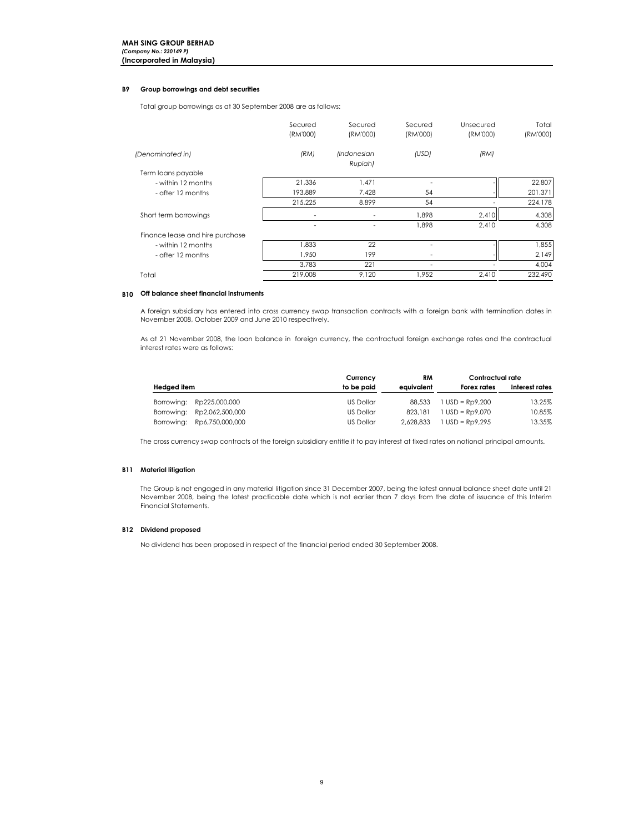# B9 Group borrowings and debt securities

Total group borrowings as at 30 September 2008 are as follows:

|                                 | Secured<br>(RM'000) | Secured<br>(RM'000)           | Secured<br>(RM'000) | Unsecured<br>(RM'000) | Total<br>(RM'000) |
|---------------------------------|---------------------|-------------------------------|---------------------|-----------------------|-------------------|
| (Denominated in)                | (RM)                | <i>(Indonesian</i><br>Rupiah) | (USD)               | (RM)                  |                   |
| Term loans payable              |                     |                               |                     |                       |                   |
| - within 12 months              | 21,336              | 1.471                         |                     |                       | 22,807            |
| - after 12 months               | 193,889             | 7,428                         | 54                  |                       | 201,371           |
|                                 | 215,225             | 8,899                         | 54                  |                       | 224,178           |
| Short term borrowings           |                     |                               | 1,898               | 2,410                 | 4,308             |
|                                 |                     |                               | 1.898               | 2,410                 | 4,308             |
| Finance lease and hire purchase |                     |                               |                     |                       |                   |
| - within 12 months              | 1,833               | 22                            |                     |                       | 1,855             |
| - after 12 months               | 1,950               | 199                           |                     |                       | 2,149             |
|                                 | 3,783               | 221                           | ۰                   |                       | 4,004             |
| Total                           | 219,008             | 9,120                         | 1,952               | 2,410                 | 232,490           |
|                                 |                     |                               |                     |                       |                   |

# B10 Off balance sheet financial instruments

A foreign subsidiary has entered into cross currency swap transaction contracts with a foreign bank with termination dates in November 2008, October 2009 and June 2010 respectively.

As at 21 November 2008, the loan balance in foreign currency, the contractual foreign exchange rates and the contractual interest rates were as follows:

|             |                            | Currency   | RM         | Contractual rate  |                |
|-------------|----------------------------|------------|------------|-------------------|----------------|
| Hedged item |                            | to be paid | eauivalent | Forex rates       | Interest rates |
|             | Borrowing: Rp225,000,000   | US Dollar  | 88,533     | $1$ USD = Rp9.200 | 13.25%         |
|             | Borrowing: Rp2,062,500,000 | US Dollar  | 823,181    | $1$ USD = Rp9.070 | 10.85%         |
|             | Borrowing: Rp6,750,000,000 | US Dollar  | 2.628.833  | $1$ USD = Rp9.295 | 13.35%         |

The cross currency swap contracts of the foreign subsidiary entitle it to pay interest at fixed rates on notional principal amounts.

# **B11** Material litigation

The Group is not engaged in any material litigation since 31 December 2007, being the latest annual balance sheet date until 21 November 2008, being the latest practicable date which is not earlier than 7 days from the date of issuance of this Interim Financial Statements.

# B12 Dividend proposed

No dividend has been proposed in respect of the financial period ended 30 September 2008.